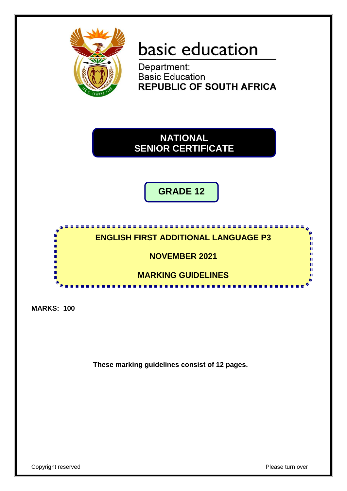

# basic education

Department: **Basic Education REPUBLIC OF SOUTH AFRICA** 

**NATIONAL SENIOR CERTIFICATE**

**GRADE 12**

## **ENGLISH FIRST ADDITIONAL LANGUAGE P3**

<u>. . . . . . . . . . . . . .</u>

**NOVEMBER 2021**

**MARKING GUIDELINES**

. . . . . . . . . . . . . . .

**MARKS: 100**

I. T. T. T T. I. ١Ē

**These marking guidelines consist of 12 pages.**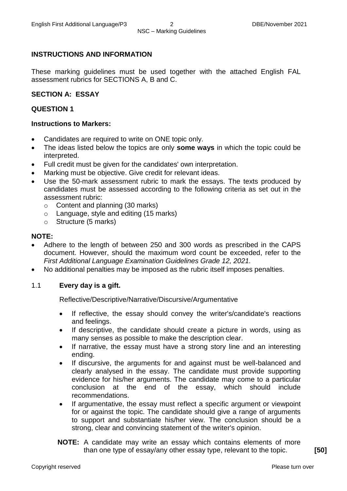#### **INSTRUCTIONS AND INFORMATION**

These marking guidelines must be used together with the attached English FAL assessment rubrics for SECTIONS A, B and C.

#### **SECTION A: ESSAY**

#### **QUESTION 1**

#### **Instructions to Markers:**

- Candidates are required to write on ONE topic only.
- The ideas listed below the topics are only **some ways** in which the topic could be interpreted.
- Full credit must be given for the candidates' own interpretation.
- Marking must be objective. Give credit for relevant ideas.
- Use the 50-mark assessment rubric to mark the essays. The texts produced by candidates must be assessed according to the following criteria as set out in the assessment rubric:
	- o Content and planning (30 marks)
	- o Language, style and editing (15 marks)
	- o Structure (5 marks)

#### **NOTE:**

- Adhere to the length of between 250 and 300 words as prescribed in the CAPS document. However, should the maximum word count be exceeded, refer to the *First Additional Language Examination Guidelines Grade 12, 2021.*
- No additional penalties may be imposed as the rubric itself imposes penalties.

#### 1.1 **Every day is a gift.**

Reflective/Descriptive/Narrative/Discursive/Argumentative

- If reflective, the essay should convey the writer's/candidate's reactions and feelings.
- If descriptive, the candidate should create a picture in words, using as many senses as possible to make the description clear.
- If narrative, the essay must have a strong story line and an interesting ending.
- If discursive, the arguments for and against must be well-balanced and clearly analysed in the essay. The candidate must provide supporting evidence for his/her arguments. The candidate may come to a particular conclusion at the end of the essay, which should include recommendations.
- If argumentative, the essay must reflect a specific argument or viewpoint for or against the topic. The candidate should give a range of arguments to support and substantiate his/her view. The conclusion should be a strong, clear and convincing statement of the writer's opinion.
- **NOTE:** A candidate may write an essay which contains elements of more than one type of essay/any other essay type, relevant to the topic. **[50]**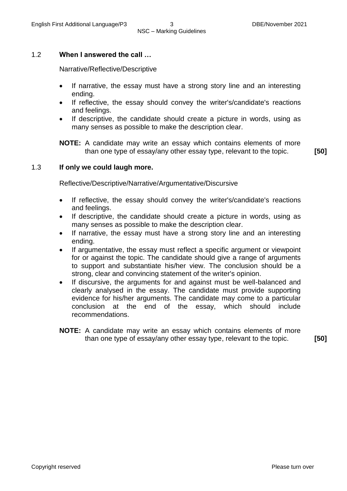#### 1.2 **When I answered the call …**

Narrative/Reflective/Descriptive

- If narrative, the essay must have a strong story line and an interesting ending.
- If reflective, the essay should convey the writer's/candidate's reactions and feelings.
- If descriptive, the candidate should create a picture in words, using as many senses as possible to make the description clear.

**NOTE:** A candidate may write an essay which contains elements of more than one type of essay/any other essay type, relevant to the topic. **[50]**

#### 1.3 **If only we could laugh more.**

Reflective/Descriptive/Narrative/Argumentative/Discursive

- If reflective, the essay should convey the writer's/candidate's reactions and feelings.
- If descriptive, the candidate should create a picture in words, using as many senses as possible to make the description clear.
- If narrative, the essay must have a strong story line and an interesting ending.
- If argumentative, the essay must reflect a specific argument or viewpoint for or against the topic. The candidate should give a range of arguments to support and substantiate his/her view. The conclusion should be a strong, clear and convincing statement of the writer's opinion.
- If discursive, the arguments for and against must be well-balanced and clearly analysed in the essay. The candidate must provide supporting evidence for his/her arguments. The candidate may come to a particular conclusion at the end of the essay, which should include recommendations.
- **NOTE:** A candidate may write an essay which contains elements of more than one type of essay/any other essay type, relevant to the topic. **[50]**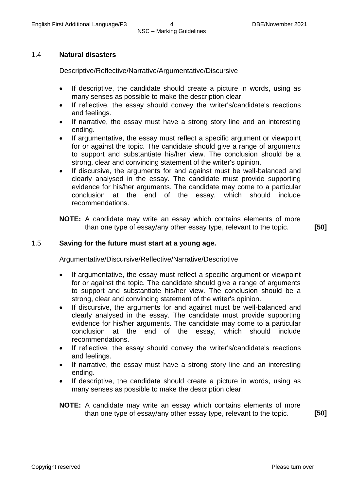#### 1.4 **Natural disasters**

Descriptive/Reflective/Narrative/Argumentative/Discursive

- If descriptive, the candidate should create a picture in words, using as many senses as possible to make the description clear.
- If reflective, the essay should convey the writer's/candidate's reactions and feelings.
- If narrative, the essay must have a strong story line and an interesting ending.
- If argumentative, the essay must reflect a specific argument or viewpoint for or against the topic. The candidate should give a range of arguments to support and substantiate his/her view. The conclusion should be a strong, clear and convincing statement of the writer's opinion.
- If discursive, the arguments for and against must be well-balanced and clearly analysed in the essay. The candidate must provide supporting evidence for his/her arguments. The candidate may come to a particular conclusion at the end of the essay, which should include recommendations.
- **NOTE:** A candidate may write an essay which contains elements of more than one type of essay/any other essay type, relevant to the topic. **[50]**

#### 1.5 **Saving for the future must start at a young age.**

Argumentative/Discursive/Reflective/Narrative/Descriptive

- If argumentative, the essay must reflect a specific argument or viewpoint for or against the topic. The candidate should give a range of arguments to support and substantiate his/her view. The conclusion should be a strong, clear and convincing statement of the writer's opinion.
- If discursive, the arguments for and against must be well-balanced and clearly analysed in the essay. The candidate must provide supporting evidence for his/her arguments. The candidate may come to a particular conclusion at the end of the essay, which should include recommendations.
- If reflective, the essay should convey the writer's/candidate's reactions and feelings.
- If narrative, the essay must have a strong story line and an interesting ending.
- If descriptive, the candidate should create a picture in words, using as many senses as possible to make the description clear.
- **NOTE:** A candidate may write an essay which contains elements of more than one type of essay/any other essay type, relevant to the topic. **[50]**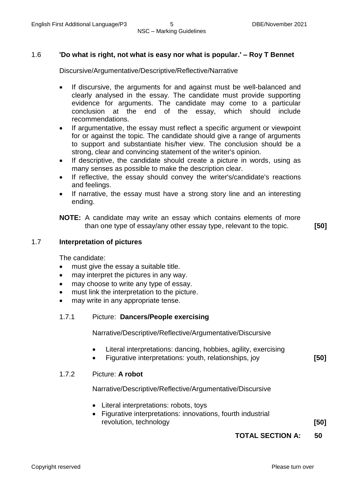#### 1.6 **'Do what is right, not what is easy nor what is popular.' – Roy T Bennet**

Discursive/Argumentative/Descriptive/Reflective/Narrative

- If discursive, the arguments for and against must be well-balanced and clearly analysed in the essay. The candidate must provide supporting evidence for arguments. The candidate may come to a particular conclusion at the end of the essay, which should include recommendations.
- If argumentative, the essay must reflect a specific argument or viewpoint for or against the topic. The candidate should give a range of arguments to support and substantiate his/her view. The conclusion should be a strong, clear and convincing statement of the writer's opinion.
- If descriptive, the candidate should create a picture in words, using as many senses as possible to make the description clear.
- If reflective, the essay should convey the writer's/candidate's reactions and feelings.
- If narrative, the essay must have a strong story line and an interesting ending.

**NOTE:** A candidate may write an essay which contains elements of more than one type of essay/any other essay type, relevant to the topic. **[50]**

#### 1.7 **Interpretation of pictures**

The candidate:

- must give the essay a suitable title.
- may interpret the pictures in any way.
- may choose to write any type of essay.
- must link the interpretation to the picture.
- may write in any appropriate tense.

#### 1.7.1 Picture: **Dancers/People exercising**

Narrative/Descriptive/Reflective/Argumentative/Discursive

- Literal interpretations: dancing, hobbies, agility, exercising
- Figurative interpretations: youth, relationships, joy **[50]**

#### 1.7.2 Picture: **A robot**

Narrative/Descriptive/Reflective/Argumentative/Discursive

- Literal interpretations: robots, toys
- Figurative interpretations: innovations, fourth industrial revolution, technology **[50]**

#### **TOTAL SECTION A: 50**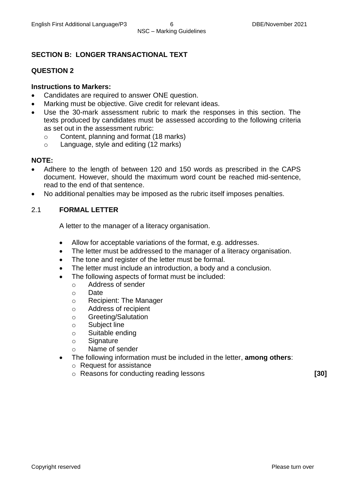#### **SECTION B: LONGER TRANSACTIONAL TEXT**

#### **QUESTION 2**

#### **Instructions to Markers:**

- Candidates are required to answer ONE question.
- Marking must be objective. Give credit for relevant ideas.
- Use the 30-mark assessment rubric to mark the responses in this section. The texts produced by candidates must be assessed according to the following criteria as set out in the assessment rubric:
	- o Content, planning and format (18 marks)
	- o Language, style and editing (12 marks)

#### **NOTE:**

- Adhere to the length of between 120 and 150 words as prescribed in the CAPS document. However, should the maximum word count be reached mid-sentence, read to the end of that sentence.
- No additional penalties may be imposed as the rubric itself imposes penalties.

#### 2.1 **FORMAL LETTER**

A letter to the manager of a literacy organisation.

- Allow for acceptable variations of the format, e.g. addresses.
- The letter must be addressed to the manager of a literacy organisation.
- The tone and register of the letter must be formal.
- The letter must include an introduction, a body and a conclusion.
- The following aspects of format must be included:
	- o Address of sender
		- o Date
		- o Recipient: The Manager
		- o Address of recipient
		- o Greeting/Salutation
		- o Subject line
	- o Suitable ending
	- o Signature
	- o Name of sender
- The following information must be included in the letter, **among others**:
	- o Request for assistance
	- o Reasons for conducting reading lessons **[30]**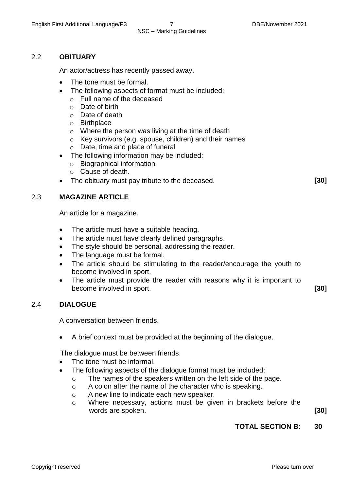### NSC – Marking Guidelines

#### 2.2 **OBITUARY**

An actor/actress has recently passed away.

- The tone must be formal.
- The following aspects of format must be included:
	- o Full name of the deceased
		- $\circ$  Date of birth
		- o Date of death
		- o Birthplace
		- o Where the person was living at the time of death
	- o Key survivors (e.g. spouse, children) and their names
	- o Date, time and place of funeral
- The following information may be included:
	- o Biographical information
	- o Cause of death.
- The obituary must pay tribute to the deceased. **[30]**

#### 2.3 **MAGAZINE ARTICLE**

An article for a magazine.

- The article must have a suitable heading.
- The article must have clearly defined paragraphs.
- The style should be personal, addressing the reader.
- The language must be formal.
- The article should be stimulating to the reader/encourage the youth to become involved in sport.
- The article must provide the reader with reasons why it is important to become involved in sport. **[30]**

#### 2.4 **DIALOGUE**

A conversation between friends.

A brief context must be provided at the beginning of the dialogue.

The dialogue must be between friends.

- The tone must be informal.
- The following aspects of the dialogue format must be included:
	- o The names of the speakers written on the left side of the page.
	- o A colon after the name of the character who is speaking.
	- o A new line to indicate each new speaker.
	- o Where necessary, actions must be given in brackets before the words are spoken. **[30]**

#### **TOTAL SECTION B: 30**

Copyright reserved **Please turn over the Copyright reserved** Please turn over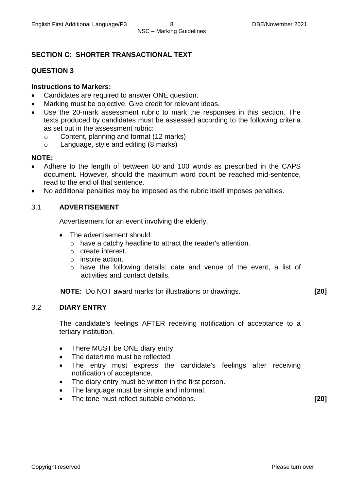#### **SECTION C: SHORTER TRANSACTIONAL TEXT**

#### **QUESTION 3**

#### **Instructions to Markers:**

- Candidates are required to answer ONE question.
- Marking must be objective. Give credit for relevant ideas.
- Use the 20-mark assessment rubric to mark the responses in this section. The texts produced by candidates must be assessed according to the following criteria as set out in the assessment rubric:
	- o Content, planning and format (12 marks)
	- o Language, style and editing (8 marks)

#### **NOTE:**

- Adhere to the length of between 80 and 100 words as prescribed in the CAPS document. However, should the maximum word count be reached mid-sentence, read to the end of that sentence.
- No additional penalties may be imposed as the rubric itself imposes penalties.

#### 3.1 **ADVERTISEMENT**

Advertisement for an event involving the elderly.

- The advertisement should:
	- o have a catchy headline to attract the reader's attention.
	- o create interest.
	- o inspire action.
	- o have the following details: date and venue of the event, a list of activities and contact details.

**NOTE:** Do NOT award marks for illustrations or drawings. **[20]**

#### 3.2 **DIARY ENTRY**

The candidate's feelings AFTER receiving notification of acceptance to a tertiary institution.

- There MUST be ONE diary entry.
- The date/time must be reflected.
- The entry must express the candidate's feelings after receiving notification of acceptance.
- The diary entry must be written in the first person.
- The language must be simple and informal.
- The tone must reflect suitable emotions. **[20]**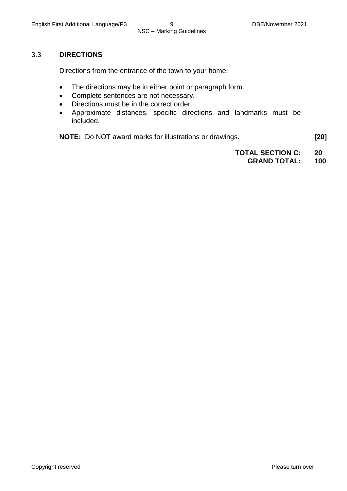#### 3.3 **DIRECTIONS**

Directions from the entrance of the town to your home.

- The directions may be in either point or paragraph form.
- Complete sentences are not necessary.
- Directions must be in the correct order.
- Approximate distances, specific directions and landmarks must be included.

**NOTE:** Do NOT award marks for illustrations or drawings. **[20]**

**TOTAL SECTION C: 20**

#### **GRAND TOTAL: 100**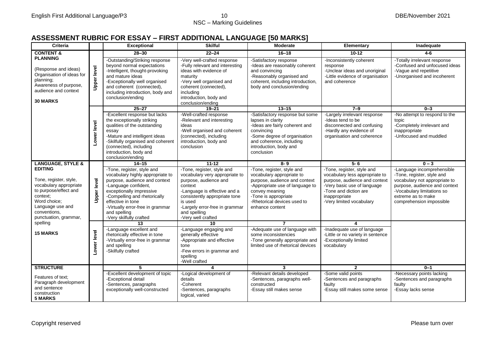## NSC – Marking Guidelines

#### **ASSESSMENT RUBRIC FOR ESSAY – FIRST ADDITIONAL LANGUAGE [50 MARKS]**

| <b>Criteria</b>                                                                                                                                                                      |                    | <b>Exceptional</b>                                                                                                                                                                                                                                                                      | <b>Skilful</b>                                                                                                                                                                                                                                       | Moderate                                                                                                                                                                                                                | Elementary                                                                                                                                                                                         | Inadequate                                                                                                                                                                                                 |
|--------------------------------------------------------------------------------------------------------------------------------------------------------------------------------------|--------------------|-----------------------------------------------------------------------------------------------------------------------------------------------------------------------------------------------------------------------------------------------------------------------------------------|------------------------------------------------------------------------------------------------------------------------------------------------------------------------------------------------------------------------------------------------------|-------------------------------------------------------------------------------------------------------------------------------------------------------------------------------------------------------------------------|----------------------------------------------------------------------------------------------------------------------------------------------------------------------------------------------------|------------------------------------------------------------------------------------------------------------------------------------------------------------------------------------------------------------|
| <b>CONTENT &amp;</b>                                                                                                                                                                 |                    | $28 - 30$                                                                                                                                                                                                                                                                               | $22 - 24$                                                                                                                                                                                                                                            | $16 - 18$                                                                                                                                                                                                               | $10 - 12$                                                                                                                                                                                          | $4 - 6$                                                                                                                                                                                                    |
| <b>PLANNING</b><br>(Response and ideas)<br>Organisation of ideas for<br>planning;<br>Awareness of purpose,<br>audience and context<br><b>30 MARKS</b>                                | <b>Upper level</b> | -Outstanding/Striking response<br>beyond normal expectations<br>-Intelligent, thought-provoking<br>and mature ideas<br>-Exceptionally well organised<br>and coherent (connected),<br>including introduction, body and<br>conclusion/ending                                              | -Very well-crafted response<br>-Fully relevant and interesting<br>ideas with evidence of<br>maturity<br>-Very well organised and<br>coherent (connected),<br>including<br>introduction, body and<br>conclusion/ending                                | -Satisfactory response<br>-Ideas are reasonably coherent<br>and convincing<br>-Reasonably organised and<br>coherent, including introduction,<br>body and conclusion/ending                                              | -Inconsistently coherent<br>response<br>-Unclear ideas and unoriginal<br>-Little evidence of organisation<br>and coherence                                                                         | -Totally irrelevant response<br>-Confused and unfocused ideas<br>-Vague and repetitive<br>-Unorganised and incoherent                                                                                      |
|                                                                                                                                                                                      |                    | $25 - 27$                                                                                                                                                                                                                                                                               | $19 - 21$                                                                                                                                                                                                                                            | $13 - 15$                                                                                                                                                                                                               | $7 - 9$                                                                                                                                                                                            | $0 - 3$                                                                                                                                                                                                    |
|                                                                                                                                                                                      | Lower level        | -Excellent response but lacks<br>the exceptionally striking<br>qualities of the outstanding<br>essay<br>-Mature and intelligent ideas<br>-Skilfully organised and coherent<br>(connected), including<br>introduction, body and<br>conclusion/ending                                     | -Well-crafted response<br>-Relevant and interesting<br>ideas<br>-Well organised and coherent<br>(connected), including<br>introduction, body and<br>conclusion                                                                                       | -Satisfactory response but some<br>lapses in clarity<br>-Ideas are fairly coherent and<br>convincing<br>-Some degree of organisation<br>and coherence, including<br>introduction, body and<br>conclusion                | -Largely irrelevant response<br>-Ideas tend to be<br>disconnected and confusing<br>-Hardly any evidence of<br>organisation and coherence                                                           | -No attempt to respond to the<br>topic<br>-Completely irrelevant and<br>inappropriate<br>-Unfocused and muddled                                                                                            |
| <b>LANGUAGE, STYLE &amp;</b>                                                                                                                                                         |                    | $14 - 15$                                                                                                                                                                                                                                                                               | $11 - 12$                                                                                                                                                                                                                                            | $8 - 9$                                                                                                                                                                                                                 | $5 - 6$                                                                                                                                                                                            | $0 - 3$                                                                                                                                                                                                    |
| <b>EDITING</b><br>Tone, register, style,<br>vocabulary appropriate<br>to purpose/effect and<br>context:<br>Word choice:<br>Language use and<br>conventions,<br>punctuation, grammar, | <b>Upper level</b> | -Tone, register, style and<br>vocabulary highly appropriate to<br>purpose, audience and context<br>-Language confident,<br>exceptionally impressive<br>-Compelling and rhetorically<br>effective in tone<br>-Virtually error-free in grammar<br>and spelling<br>-Very skilfully crafted | -Tone, register, style and<br>vocabulary very appropriate to<br>purpose, audience and<br>context<br>-Language is effective and a<br>consistently appropriate tone<br>is used<br>-Largely error-free in grammar<br>and spelling<br>-Very well crafted | -Tone, register, style and<br>vocabulary appropriate to<br>purpose, audience and context<br>-Appropriate use of language to<br>convey meaning<br>-Tone is appropriate<br>-Rhetorical devices used to<br>enhance content | -Tone, register, style and<br>vocabulary less appropriate to<br>purpose, audience and context<br>-Very basic use of language<br>-Tone and diction are<br>inappropriate<br>-Very limited vocabulary | -Language incomprehensible<br>-Tone, register, style and<br>vocabulary not appropriate to<br>purpose, audience and context<br>-Vocabulary limitations so<br>extreme as to make<br>comprehension impossible |
| spelling                                                                                                                                                                             |                    | 13                                                                                                                                                                                                                                                                                      | 10                                                                                                                                                                                                                                                   | $\overline{7}$                                                                                                                                                                                                          | 4                                                                                                                                                                                                  |                                                                                                                                                                                                            |
| <b>15 MARKS</b>                                                                                                                                                                      | Lower level        | -Language excellent and<br>rhetorically effective in tone<br>-Virtually error-free in grammar<br>and spelling<br>-Skilfully crafted                                                                                                                                                     | -Language engaging and<br>generally effective<br>-Appropriate and effective<br>tone<br>-Few errors in grammar and<br>spelling<br>-Well crafted                                                                                                       | -Adequate use of language with<br>some inconsistencies<br>-Tone generally appropriate and<br>limited use of rhetorical devices                                                                                          | -Inadequate use of language<br>-Little or no variety in sentence<br>-Exceptionally limited<br>vocabulary                                                                                           |                                                                                                                                                                                                            |
| <b>STRUCTURE</b>                                                                                                                                                                     |                    | 5                                                                                                                                                                                                                                                                                       | 4                                                                                                                                                                                                                                                    | $\mathbf{3}$                                                                                                                                                                                                            | $\overline{2}$                                                                                                                                                                                     | $0 - 1$                                                                                                                                                                                                    |
| Features of text:<br>Paragraph development<br>and sentence<br>construction<br><b>5 MARKS</b>                                                                                         |                    | -Excellent development of topic<br>-Exceptional detail<br>-Sentences, paragraphs<br>exceptionally well-constructed                                                                                                                                                                      | -Logical development of<br>details<br>-Coherent<br>-Sentences, paragraphs<br>logical, varied                                                                                                                                                         | -Relevant details developed<br>-Sentences, paragraphs well-<br>constructed<br>-Essay still makes sense                                                                                                                  | -Some valid points<br>-Sentences and paragraphs<br>faulty<br>-Essay still makes some sense                                                                                                         | -Necessary points lacking<br>-Sentences and paragraphs<br>faulty<br>-Essay lacks sense                                                                                                                     |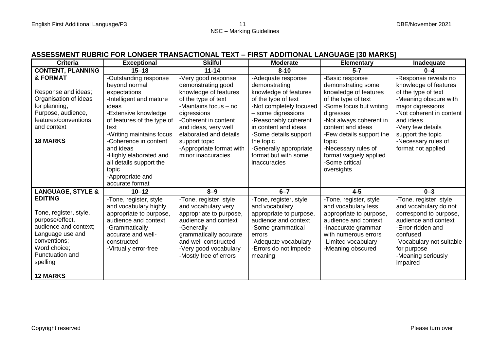#### **ASSESSMENT RUBRIC FOR LONGER TRANSACTIONAL TEXT – FIRST ADDITIONAL LANGUAGE [30 MARKS]**

| <b>Criteria</b>                                                                                                                                                                            | <b>Exceptional</b>                                                                                                                                                                                                                                                                                                              | <b>Skilful</b>                                                                                                                                                                                                                                                                 | <b>Moderate</b>                                                                                                                                                                                                                                                                              | <b>Elementary</b>                                                                                                                                                                                                                                                                                   | Inadequate                                                                                                                                                                                                                                         |
|--------------------------------------------------------------------------------------------------------------------------------------------------------------------------------------------|---------------------------------------------------------------------------------------------------------------------------------------------------------------------------------------------------------------------------------------------------------------------------------------------------------------------------------|--------------------------------------------------------------------------------------------------------------------------------------------------------------------------------------------------------------------------------------------------------------------------------|----------------------------------------------------------------------------------------------------------------------------------------------------------------------------------------------------------------------------------------------------------------------------------------------|-----------------------------------------------------------------------------------------------------------------------------------------------------------------------------------------------------------------------------------------------------------------------------------------------------|----------------------------------------------------------------------------------------------------------------------------------------------------------------------------------------------------------------------------------------------------|
| <b>CONTENT, PLANNING</b>                                                                                                                                                                   | $15 - 18$                                                                                                                                                                                                                                                                                                                       | $11 - 14$                                                                                                                                                                                                                                                                      | $8 - 10$                                                                                                                                                                                                                                                                                     | $5 - 7$                                                                                                                                                                                                                                                                                             | $0 - 4$                                                                                                                                                                                                                                            |
| & FORMAT<br>Response and ideas;<br>Organisation of ideas<br>for planning;<br>Purpose, audience,<br>features/conventions<br>and context<br><b>18 MARKS</b>                                  | -Outstanding response<br>beyond normal<br>expectations<br>-Intelligent and mature<br>ideas<br>-Extensive knowledge<br>of features of the type of<br>text<br>-Writing maintains focus<br>-Coherence in content<br>and ideas<br>-Highly elaborated and<br>all details support the<br>topic<br>-Appropriate and<br>accurate format | -Very good response<br>demonstrating good<br>knowledge of features<br>of the type of text<br>-Maintains focus - no<br>digressions<br>-Coherent in content<br>and ideas, very well<br>elaborated and details<br>support topic<br>-Appropriate format with<br>minor inaccuracies | -Adequate response<br>demonstrating<br>knowledge of features<br>of the type of text<br>-Not completely focused<br>- some digressions<br>-Reasonably coherent<br>in content and ideas<br>-Some details support<br>the topic<br>-Generally appropriate<br>format but with some<br>inaccuracies | -Basic response<br>demonstrating some<br>knowledge of features<br>of the type of text<br>-Some focus but writing<br>digresses<br>-Not always coherent in<br>content and ideas<br>-Few details support the<br>topic<br>-Necessary rules of<br>format vaguely applied<br>-Some critical<br>oversights | -Response reveals no<br>knowledge of features<br>of the type of text<br>-Meaning obscure with<br>major digressions<br>-Not coherent in content<br>and ideas<br>-Very few details<br>support the topic<br>-Necessary rules of<br>format not applied |
| <b>LANGUAGE, STYLE &amp;</b>                                                                                                                                                               | $10 - 12$                                                                                                                                                                                                                                                                                                                       | $8 - 9$                                                                                                                                                                                                                                                                        | $6 - 7$                                                                                                                                                                                                                                                                                      | $4 - 5$                                                                                                                                                                                                                                                                                             | $0 - 3$                                                                                                                                                                                                                                            |
| <b>EDITING</b><br>Tone, register, style,<br>purpose/effect,<br>audience and context;<br>Language use and<br>conventions;<br>Word choice;<br>Punctuation and<br>spelling<br><b>12 MARKS</b> | -Tone, register, style<br>and vocabulary highly<br>appropriate to purpose,<br>audience and context<br>-Grammatically<br>accurate and well-<br>constructed<br>-Virtually error-free                                                                                                                                              | -Tone, register, style<br>and vocabulary very<br>appropriate to purpose,<br>audience and context<br>-Generally<br>grammatically accurate<br>and well-constructed<br>-Very good vocabulary<br>-Mostly free of errors                                                            | -Tone, register, style<br>and vocabulary<br>appropriate to purpose,<br>audience and context<br>-Some grammatical<br>errors<br>-Adequate vocabulary<br>-Errors do not impede<br>meaning                                                                                                       | -Tone, register, style<br>and vocabulary less<br>appropriate to purpose,<br>audience and context<br>-Inaccurate grammar<br>with numerous errors<br>-Limited vocabulary<br>-Meaning obscured                                                                                                         | -Tone, register, style<br>and vocabulary do not<br>correspond to purpose,<br>audience and context<br>-Error-ridden and<br>confused<br>-Vocabulary not suitable<br>for purpose<br>-Meaning seriously<br>impaired                                    |